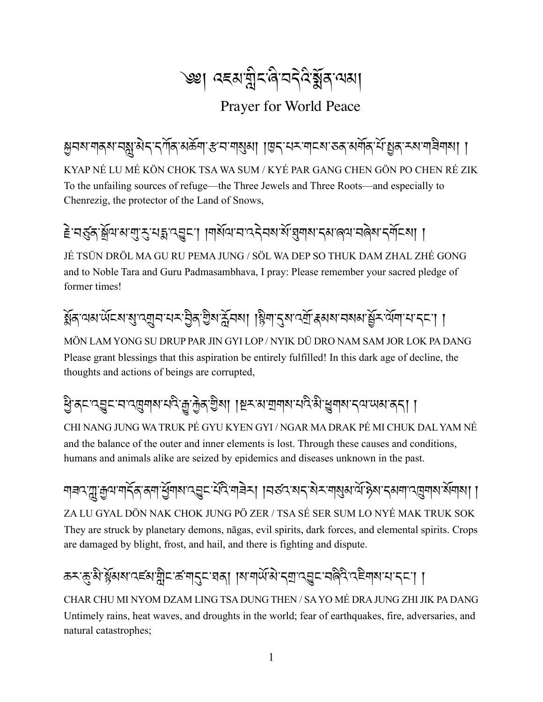্ঞা ব্ৰহ্মন্ত্ৰীন'ৰীব্ৰইক্ষীৰ'ঝমা

#### Prayer for World Peace

ক্সুনম'নাৰ্ম'নমু'ম্বান'ন্দাৰ্ম্মজঁনা'স্ক'ন'নামুমা ।দ্বন'থম'নামম'কৰ'মৰ্দ্মিক'ৰ্মম'নাৰ্মীনামা । KYAP NÉ LU MÉ KÖN CHOK TSA WA SUM / KYÉ PAR GANG CHEN GÖN PO CHEN RÉ ZIK To the unfailing sources of refuge—the Three Jewels and Three Roots—and especially to Chenrezig, the protector of the Land of Snows,

<u>हे</u> বর্ত্ত্বার্ষ্ণমান্মান্মেহ্নান্দ্রান্দ্রা । বির্ষ্ণমান্দ্রের বিষ্ণার্থা বিষ্ণা বিষ্ণা । বিষ্ণা বিষ্ণা ।

JÉ TSÜN DRÖL MA GU RU PEMA JUNG / SÖL WA DEP SO THUK DAM ZHAL ZHÉ GONG and to Noble Tara and Guru Padmasambhava, I pray: Please remember your sacred pledge of former times!

# ङ्ग्रॅह्म भाषा संदिग हो। इंग्लैंडिजिंग हो । अत्रै अर्थ क्षेत्र संदिग संदिग हो । अत्रै अर्थ क्षेत्र संदिग हो ।

MÖN LAM YONG SU DRUP PAR JIN GYI LOP / NYIK DÜ DRO NAM SAM JOR LOK PA DANG Please grant blessings that this aspiration be entirely fulfilled! In this dark age of decline, the thoughts and actions of beings are corrupted,

# খ্রি'ক্ম'ব্র্ছম'ন'ব্র্দ্র্শ্বম'ঘণ্টিক'গ্রীমা ।শ্রুম'মাম্র্শ্বম'ই'মি'ধ্রুশ্ম'ব্ন'ঋম'ক্ব| ।

CHI NANG JUNG WA TRUK PÉ GYU KYEN GYI / NGAR MA DRAK PÉ MI CHUK DAL YAM NÉ and the balance of the outer and inner elements is lost. Through these causes and conditions, humans and animals alike are seized by epidemics and diseases unknown in the past.

শৰণস্মভূষ্মৰ্শ ব্ৰিম্বাম্প্ৰদেশ বিৰোদ্ভাৱ বিৰোদ্ভাৱ দিবলৈ স্বাৰ্থ বিৰোদ্ভাৱ বিৰোদ্ভাৱ দিবলৈ প্ৰাৰ্

ZA LU GYAL DÖN NAK CHOK JUNG PÖ ZER / TSA SÉ SER SUM LO NYÉ MAK TRUK SOK They are struck by planetary demons, nāgas, evil spirits, dark forces, and elemental spirits. Crops are damaged by blight, frost, and hail, and there is fighting and dispute.

### ཆར་u་མི་sོམས་འཛམ་gིང་ཚ་གdང་ཐན། །ས་གཡW་མ[་དg་འbང་བཞིའི་འཇིགས་པ་དང་། །

CHAR CHU MI NYOM DZAM LING TSA DUNG THEN / SA YO MÉ DRA JUNG ZHI JIK PA DANG Untimely rains, heat waves, and droughts in the world; fear of earthquakes, fire, adversaries, and natural catastrophes;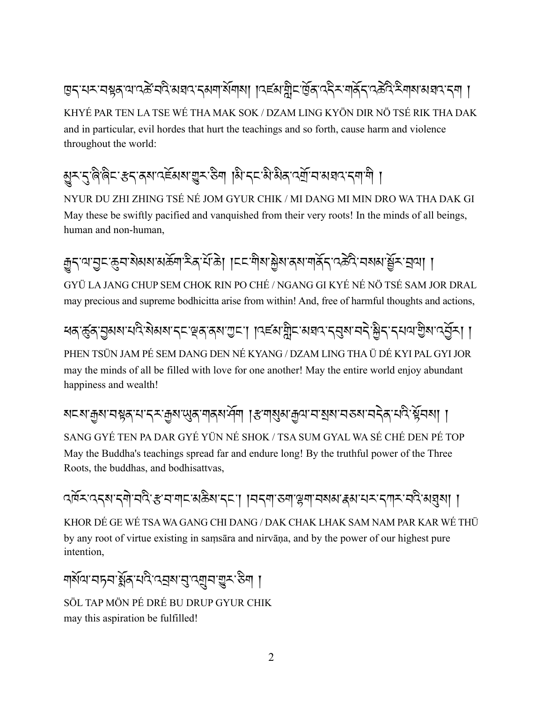# ।ॺॗॸॱय़ॸॱय़ॺॖक़ॱय़ॱय़ऄऀॱय़ऄॱॺय़ॱॸॴग़ॱॺ॔ग़ॺऻॖॱय़ॎॾ॔ॺॱय़ॣॆ॓ॸॱफ़ॗॕक़ॱय़ॸॣऀॸॱय़ऄऀय़ॱऄॺॱॺय़य़ॱॸग़ॱॖ

KHYÉ PAR TEN LA TSE WÉ THA MAK SOK / DZAM LING KYÖN DIR NÖ TSÉ RIK THA DAK and in particular, evil hordes that hurt the teachings and so forth, cause harm and violence throughout the world:

# <u>য়</u>ৢॸॱॸॣॱଵॆॱଵॆॸॱॱङॸॱॸॺॱय़ॾॕॺॺॱॻॗॸॱऀऄॻॱॺॎऀॱॸॸॱऄॱऄॸॱय़ॶॕॱॺॱॺॺय़ॱॸग़ॱग़॒॓॓ॱ

NYUR DU ZHI ZHING TSÉ NÉ JOM GYUR CHIK / MI DANG MI MIN DRO WA THA DAK GI May these be swiftly pacified and vanquished from their very roots! In the minds of all beings, human and non-human,

কুন্সম্ভুন্জুন'মিমম'মৰ্ক্ৰশ'ন্কি'মক্টি। ।মে'শীম'ষ্টুম'ৰ্ম'শৰ্ক্ষি'বেক্টব্ৰি'ন্নম্মা ইন'ন্নমা ।

GYÜ LA JANG CHUP SEM CHOK RIN PO CHÉ / NGANG GI KYÉ NÉ NÖ TSÉ SAM JOR DRAL may precious and supreme bodhicitta arise from within! And, free of harmful thoughts and actions,

ধৰাৰ্ক্কান্ত্ৰমমানবিক্ষিমমান্নমন্ত্ৰৰাজ্যতাৰ বিৰুদ্ধে নিৰ্দেশ্য নিৰ্দেশ নিৰ্দেশ কৰিব। বি

PHEN TSÜN JAM PÉ SEM DANG DEN NÉ KYANG / DZAM LING THA Ü DÉ KYI PAL GYI JOR may the minds of all be filled with love for one another! May the entire world enjoy abundant happiness and wealth!

## ষ⊏ম'ক্রম'নস্থর'ম'ন্≍'ক্রম'ড্স্ন'শ্রম'র্শি ।স্ত'শম্মন'মুম'নস্তম'নন্দি'মেণ্ড্রীমমা ।

SANG GYÉ TEN PA DAR GYÉ YÜN NÉ SHOK / TSA SUM GYAL WA SÉ CHÉ DEN PÉ TOP May the Buddha's teachings spread far and endure long! By the truthful power of the Three Roots, the buddhas, and bodhisattvas,

्क्रिंट्र्व्द्घ्य्द्व्ग्रेन्द्र्रियःस्यान्द्र्थङ्केष्र्द्भ्ः। ।नद्म् रुम्'ञ्ज्ञ्यास्यअःह्यायरुद्गम् प्रविभ्यञ्ज्ञ। ।

KHOR DÉ GE WÉ TSA WA GANG CHI DANG / DAK CHAK LHAK SAM NAM PAR KAR WÉ THÜ by any root of virtue existing in saṃsāra and nirvāṇa, and by the power of our highest pure intention,

নার্য়মামচনার্য়ুরামন্মিনব্রমান্মনেত্রমান্ত্র-উনা।

SÖL TAP MÖN PÉ DRÉ BU DRUP GYUR CHIK may this aspiration be fulfilled!